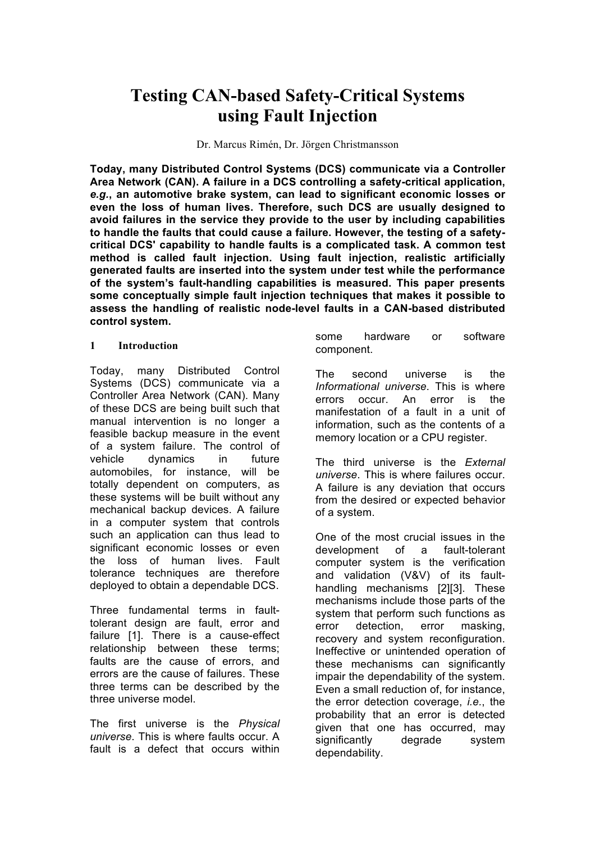# **Testing CAN-based Safety-Critical Systems using Fault Injection**

Dr. Marcus Rimén, Dr. Jörgen Christmansson

**Today, many Distributed Control Systems (DCS) communicate via a Controller Area Network (CAN). A failure in a DCS controlling a safety-critical application,**  *e.g.***, an automotive brake system, can lead to significant economic losses or even the loss of human lives. Therefore, such DCS are usually designed to avoid failures in the service they provide to the user by including capabilities to handle the faults that could cause a failure. However, the testing of a safetycritical DCS' capability to handle faults is a complicated task. A common test method is called fault injection. Using fault injection, realistic artificially generated faults are inserted into the system under test while the performance of the system's fault-handling capabilities is measured. This paper presents some conceptually simple fault injection techniques that makes it possible to assess the handling of realistic node-level faults in a CAN-based distributed control system.**

#### **1 Introduction**

Today, many Distributed Control Systems (DCS) communicate via a Controller Area Network (CAN). Many of these DCS are being built such that manual intervention is no longer a feasible backup measure in the event of a system failure. The control of vehicle dynamics in future automobiles, for instance, will be totally dependent on computers, as these systems will be built without any mechanical backup devices. A failure in a computer system that controls such an application can thus lead to significant economic losses or even the loss of human lives. Fault tolerance techniques are therefore deployed to obtain a dependable DCS.

Three fundamental terms in faulttolerant design are fault, error and failure [1]. There is a cause-effect relationship between these terms; faults are the cause of errors, and errors are the cause of failures. These three terms can be described by the three universe model.

The first universe is the *Physical universe*. This is where faults occur. A fault is a defect that occurs within

some hardware or software component.

The second universe is the *Informational universe*. This is where errors occur. An error is the manifestation of a fault in a unit of information, such as the contents of a memory location or a CPU register.

The third universe is the *External universe*. This is where failures occur. A failure is any deviation that occurs from the desired or expected behavior of a system.

One of the most crucial issues in the development of a fault-tolerant computer system is the verification and validation (V&V) of its faulthandling mechanisms [2][3]. These mechanisms include those parts of the system that perform such functions as error detection, error masking, recovery and system reconfiguration. Ineffective or unintended operation of these mechanisms can significantly impair the dependability of the system. Even a small reduction of, for instance, the error detection coverage, *i.e.*, the probability that an error is detected given that one has occurred, may significantly degrade system dependability.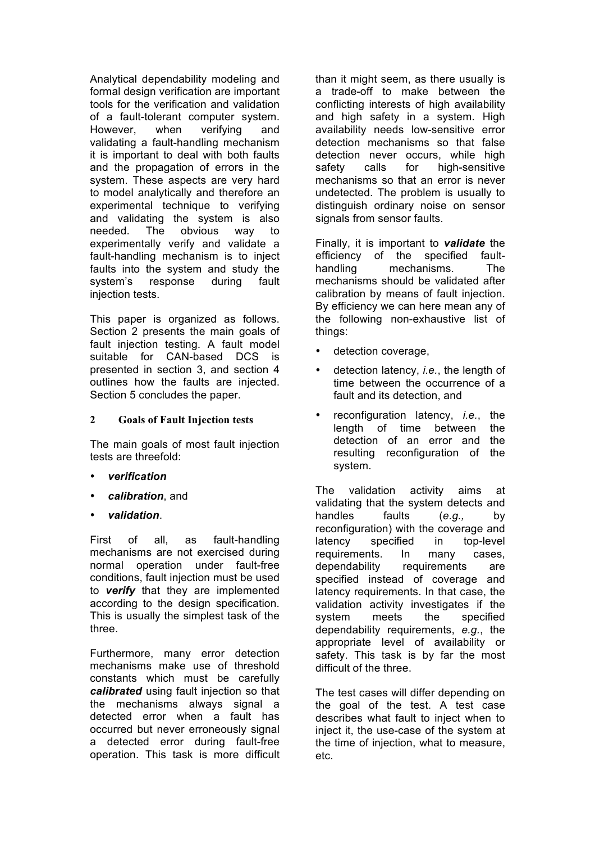Analytical dependability modeling and formal design verification are important tools for the verification and validation of a fault-tolerant computer system. However, when verifying and validating a fault-handling mechanism it is important to deal with both faults and the propagation of errors in the system. These aspects are very hard to model analytically and therefore an experimental technique to verifying and validating the system is also needed. The obvious way to experimentally verify and validate a fault-handling mechanism is to inject faults into the system and study the system's response during fault injection tests.

This paper is organized as follows. Section 2 presents the main goals of fault injection testing. A fault model suitable for CAN-based DCS is presented in section 3, and section 4 outlines how the faults are injected. Section 5 concludes the paper.

## **2 Goals of Fault Injection tests**

The main goals of most fault injection tests are threefold:

- *verification*
- *calibration*, and
- *validation*.

First of all, as fault-handling mechanisms are not exercised during normal operation under fault-free conditions, fault injection must be used to *verify* that they are implemented according to the design specification. This is usually the simplest task of the three.

Furthermore, many error detection mechanisms make use of threshold constants which must be carefully *calibrated* using fault injection so that the mechanisms always signal a detected error when a fault has occurred but never erroneously signal a detected error during fault-free operation. This task is more difficult than it might seem, as there usually is a trade-off to make between the conflicting interests of high availability and high safety in a system. High availability needs low-sensitive error detection mechanisms so that false detection never occurs, while high safety calls for high-sensitive mechanisms so that an error is never undetected. The problem is usually to distinguish ordinary noise on sensor signals from sensor faults.

Finally, it is important to *validate* the efficiency of the specified faulthandling mechanisms. The mechanisms should be validated after calibration by means of fault injection. By efficiency we can here mean any of the following non-exhaustive list of things:

- detection coverage,
- detection latency, *i.e.*, the length of time between the occurrence of a fault and its detection, and
- reconfiguration latency, *i.e.*, the length of time between the detection of an error and the resulting reconfiguration of the system.

The validation activity aims at validating that the system detects and handles faults (*e.g.,* by reconfiguration) with the coverage and latency specified in top-level requirements. In many cases, dependability requirements are specified instead of coverage and latency requirements. In that case, the validation activity investigates if the system meets the specified dependability requirements, *e.g.*, the appropriate level of availability or safety. This task is by far the most difficult of the three.

The test cases will differ depending on the goal of the test. A test case describes what fault to inject when to inject it, the use-case of the system at the time of injection, what to measure, etc.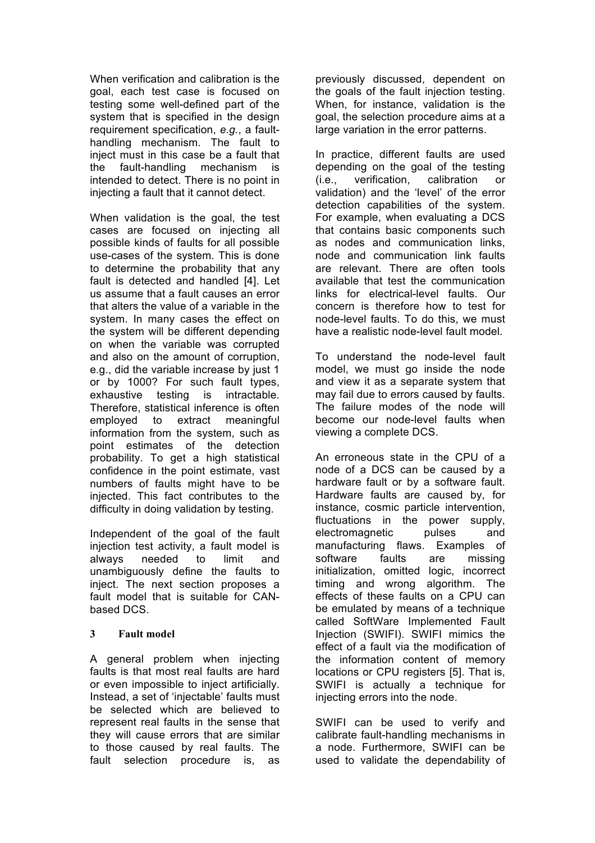When verification and calibration is the goal, each test case is focused on testing some well-defined part of the system that is specified in the design requirement specification, *e.g.*, a faulthandling mechanism. The fault to inject must in this case be a fault that the fault-handling mechanism is intended to detect. There is no point in injecting a fault that it cannot detect.

When validation is the goal, the test cases are focused on injecting all possible kinds of faults for all possible use-cases of the system. This is done to determine the probability that any fault is detected and handled [4]. Let us assume that a fault causes an error that alters the value of a variable in the system. In many cases the effect on the system will be different depending on when the variable was corrupted and also on the amount of corruption, e.g., did the variable increase by just 1 or by 1000? For such fault types, exhaustive testing is intractable. Therefore, statistical inference is often employed to extract meaningful information from the system, such as point estimates of the detection probability. To get a high statistical confidence in the point estimate, vast numbers of faults might have to be injected. This fact contributes to the difficulty in doing validation by testing.

Independent of the goal of the fault injection test activity, a fault model is always needed to limit and unambiguously define the faults to inject. The next section proposes a fault model that is suitable for CANbased DCS.

# **3 Fault model**

A general problem when injecting faults is that most real faults are hard or even impossible to inject artificially. Instead, a set of 'injectable' faults must be selected which are believed to represent real faults in the sense that they will cause errors that are similar to those caused by real faults. The fault selection procedure is, as

previously discussed, dependent on the goals of the fault injection testing. When, for instance, validation is the goal, the selection procedure aims at a large variation in the error patterns.

In practice, different faults are used depending on the goal of the testing (i.e., verification, calibration or validation) and the 'level' of the error detection capabilities of the system. For example, when evaluating a DCS that contains basic components such as nodes and communication links, node and communication link faults are relevant. There are often tools available that test the communication links for electrical-level faults. Our concern is therefore how to test for node-level faults. To do this, we must have a realistic node-level fault model.

To understand the node-level fault model, we must go inside the node and view it as a separate system that may fail due to errors caused by faults. The failure modes of the node will become our node-level faults when viewing a complete DCS.

An erroneous state in the CPU of a node of a DCS can be caused by a hardware fault or by a software fault. Hardware faults are caused by, for instance, cosmic particle intervention, fluctuations in the power supply, electromagnetic pulses and manufacturing flaws. Examples of software faults are missing initialization, omitted logic, incorrect timing and wrong algorithm. The effects of these faults on a CPU can be emulated by means of a technique called SoftWare Implemented Fault Injection (SWIFI). SWIFI mimics the effect of a fault via the modification of the information content of memory locations or CPU registers [5]. That is, SWIFI is actually a technique for injecting errors into the node.

SWIFI can be used to verify and calibrate fault-handling mechanisms in a node. Furthermore, SWIFI can be used to validate the dependability of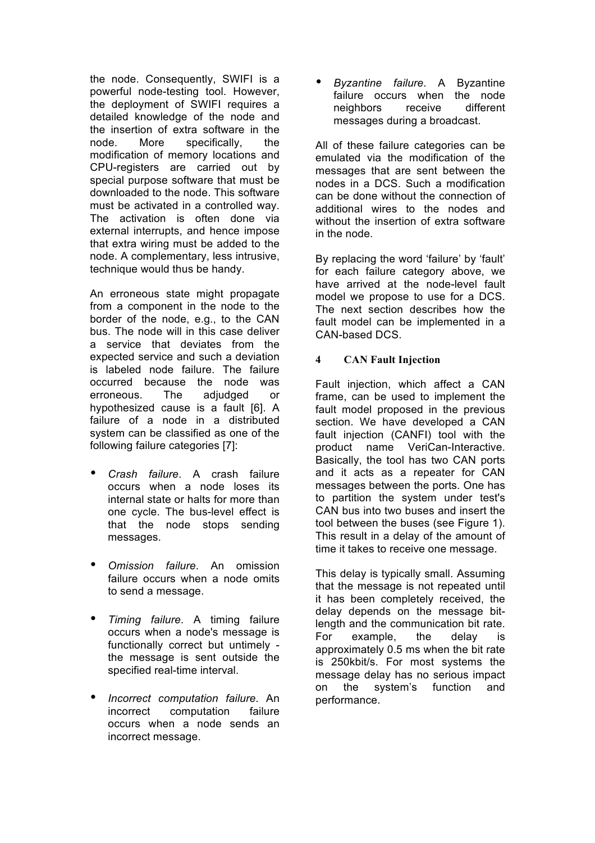the node. Consequently, SWIFI is a powerful node-testing tool. However, the deployment of SWIFI requires a detailed knowledge of the node and the insertion of extra software in the node. More specifically, the modification of memory locations and CPU-registers are carried out by special purpose software that must be downloaded to the node. This software must be activated in a controlled way. The activation is often done via external interrupts, and hence impose that extra wiring must be added to the node. A complementary, less intrusive, technique would thus be handy.

An erroneous state might propagate from a component in the node to the border of the node, e.g., to the CAN bus. The node will in this case deliver a service that deviates from the expected service and such a deviation is labeled node failure. The failure occurred because the node was erroneous. The adjudged or hypothesized cause is a fault [6]. A failure of a node in a distributed system can be classified as one of the following failure categories [7]:

- *Crash failure*. A crash failure occurs when a node loses its internal state or halts for more than one cycle. The bus-level effect is that the node stops sending messages.
- *Omission failure*. An omission failure occurs when a node omits to send a message.
- *Timing failure*. A timing failure occurs when a node's message is functionally correct but untimely the message is sent outside the specified real-time interval.
- *Incorrect computation failure*. An computation occurs when a node sends an incorrect message.

• *Byzantine failure*. A Byzantine failure occurs when the node neighbors receive different messages during a broadcast.

All of these failure categories can be emulated via the modification of the messages that are sent between the nodes in a DCS. Such a modification can be done without the connection of additional wires to the nodes and without the insertion of extra software in the node.

By replacing the word 'failure' by 'fault' for each failure category above, we have arrived at the node-level fault model we propose to use for a DCS. The next section describes how the fault model can be implemented in a CAN-based DCS.

# **4 CAN Fault Injection**

Fault injection, which affect a CAN frame, can be used to implement the fault model proposed in the previous section. We have developed a CAN fault injection (CANFI) tool with the product name VeriCan-Interactive. Basically, the tool has two CAN ports and it acts as a repeater for CAN messages between the ports. One has to partition the system under test's CAN bus into two buses and insert the tool between the buses (see Figure 1). This result in a delay of the amount of time it takes to receive one message.

This delay is typically small. Assuming that the message is not repeated until it has been completely received, the delay depends on the message bitlength and the communication bit rate. For example, the delay is approximately 0.5 ms when the bit rate is 250kbit/s. For most systems the message delay has no serious impact on the system's function and performance.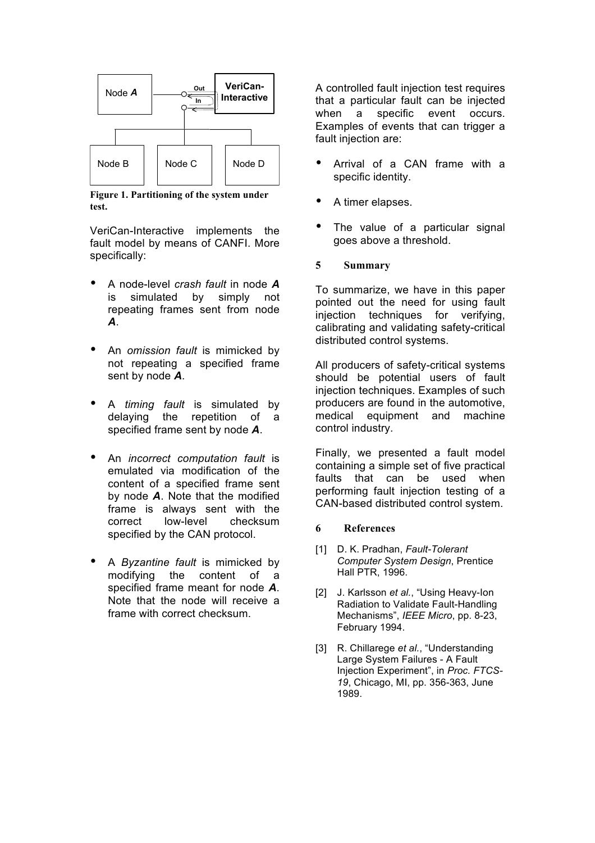

**Figure 1. Partitioning of the system under test.**

VeriCan-Interactive implements the fault model by means of CANFI. More specifically:

- A node-level *crash fault* in node *A* is simulated by simply not repeating frames sent from node *A*.
- An *omission fault* is mimicked by not repeating a specified frame sent by node *A*.
- A *timing fault* is simulated by the repetition of a specified frame sent by node *A*.
- An *incorrect computation fault* is emulated via modification of the content of a specified frame sent by node *A*. Note that the modified frame is always sent with the correct low-level checksum specified by the CAN protocol.
- A *Byzantine fault* is mimicked by modifying the content of a specified frame meant for node *A*. Note that the node will receive a frame with correct checksum.

A controlled fault injection test requires that a particular fault can be injected when a specific event occurs. Examples of events that can trigger a fault injection are:

- Arrival of a CAN frame with a specific identity.
- A timer elapses.
- The value of a particular signal goes above a threshold.

## **5 Summary**

To summarize, we have in this paper pointed out the need for using fault injection techniques for verifying, calibrating and validating safety-critical distributed control systems.

All producers of safety-critical systems should be potential users of fault injection techniques. Examples of such producers are found in the automotive, medical equipment and machine control industry.

Finally, we presented a fault model containing a simple set of five practical faults that can be used when performing fault injection testing of a CAN-based distributed control system.

#### **6 References**

- [1] D. K. Pradhan, *Fault-Tolerant Computer System Design*, Prentice Hall PTR, 1996.
- [2] J. Karlsson *et al.*, "Using Heavy-Ion Radiation to Validate Fault-Handling Mechanisms", *IEEE Micro*, pp. 8-23, February 1994.
- [3] R. Chillarege *et al.*, "Understanding Large System Failures - A Fault Injection Experiment", in *Proc. FTCS-19*, Chicago, MI, pp. 356-363, June 1989.